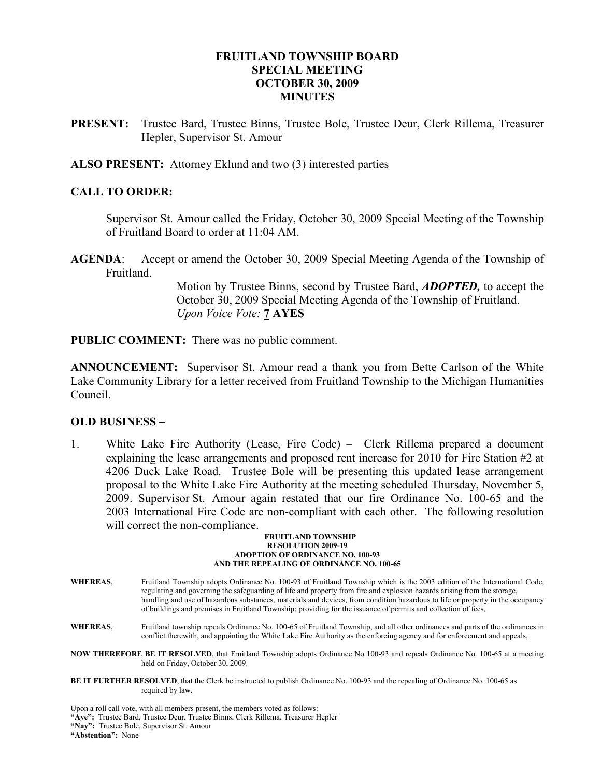## FRUITLAND TOWNSHIP BOARD SPECIAL MEETING OCTOBER 30, 2009 MINUTES

PRESENT: Trustee Bard, Trustee Binns, Trustee Bole, Trustee Deur, Clerk Rillema, Treasurer Hepler, Supervisor St. Amour

ALSO PRESENT: Attorney Eklund and two (3) interested parties

### CALL TO ORDER:

 Supervisor St. Amour called the Friday, October 30, 2009 Special Meeting of the Township of Fruitland Board to order at 11:04 AM.

AGENDA: Accept or amend the October 30, 2009 Special Meeting Agenda of the Township of Fruitland.

> Motion by Trustee Binns, second by Trustee Bard, ADOPTED, to accept the October 30, 2009 Special Meeting Agenda of the Township of Fruitland. Upon Voice Vote: 7 AYES

PUBLIC COMMENT: There was no public comment.

ANNOUNCEMENT: Supervisor St. Amour read a thank you from Bette Carlson of the White Lake Community Library for a letter received from Fruitland Township to the Michigan Humanities Council.

### OLD BUSINESS –

1. White Lake Fire Authority (Lease, Fire Code) – Clerk Rillema prepared a document explaining the lease arrangements and proposed rent increase for 2010 for Fire Station #2 at 4206 Duck Lake Road. Trustee Bole will be presenting this updated lease arrangement proposal to the White Lake Fire Authority at the meeting scheduled Thursday, November 5, 2009. Supervisor St. Amour again restated that our fire Ordinance No. 100-65 and the 2003 International Fire Code are non-compliant with each other. The following resolution will correct the non-compliance.

#### FRUITLAND TOWNSHIP RESOLUTION 2009-19 ADOPTION OF ORDINANCE NO. 100-93 AND THE REPEALING OF ORDINANCE NO. 100-65

- WHEREAS, Fruitland Township adopts Ordinance No. 100-93 of Fruitland Township which is the 2003 edition of the International Code, regulating and governing the safeguarding of life and property from fire and explosion hazards arising from the storage, handling and use of hazardous substances, materials and devices, from condition hazardous to life or property in the occupancy of buildings and premises in Fruitland Township; providing for the issuance of permits and collection of fees,
- WHEREAS, Fruitland township repeals Ordinance No. 100-65 of Fruitland Township, and all other ordinances and parts of the ordinances in conflict therewith, and appointing the White Lake Fire Authority as the enforcing agency and for enforcement and appeals,
- NOW THEREFORE BE IT RESOLVED, that Fruitland Township adopts Ordinance No 100-93 and repeals Ordinance No. 100-65 at a meeting held on Friday, October 30, 2009.
- BE IT FURTHER RESOLVED, that the Clerk be instructed to publish Ordinance No. 100-93 and the repealing of Ordinance No. 100-65 as required by law.

Upon a roll call vote, with all members present, the members voted as follows:

"Aye": Trustee Bard, Trustee Deur, Trustee Binns, Clerk Rillema, Treasurer Hepler

"Nay": Trustee Bole, Supervisor St. Amour

"Abstention": None